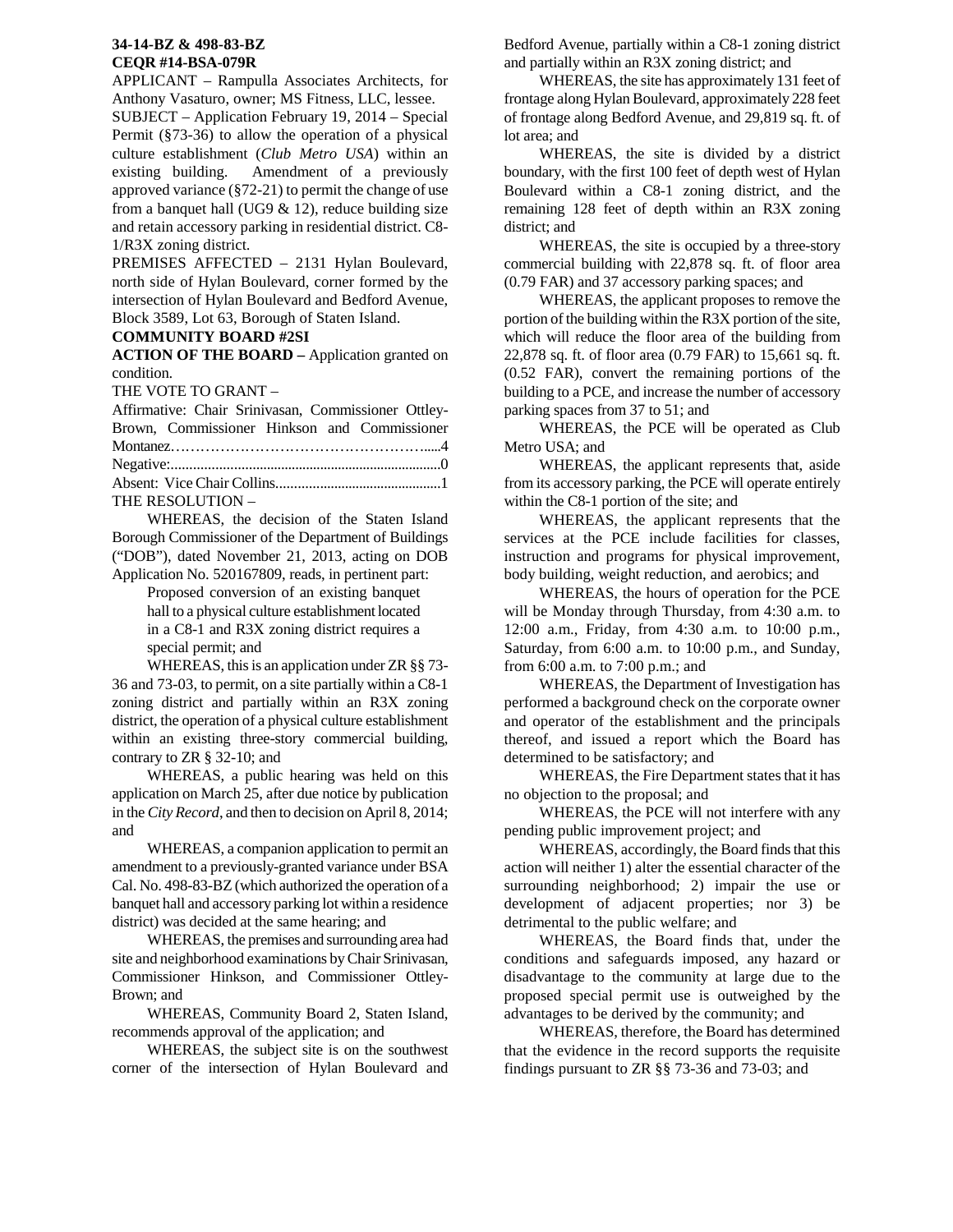## **34-14-BZ & 498-83-BZ CEQR #14-BSA-079R**

APPLICANT – Rampulla Associates Architects, for Anthony Vasaturo, owner; MS Fitness, LLC, lessee.

SUBJECT – Application February 19, 2014 – Special Permit (§73-36) to allow the operation of a physical culture establishment (*Club Metro USA*) within an existing building. Amendment of a previously approved variance (§72-21) to permit the change of use from a banquet hall (UG9  $& 12$ ), reduce building size and retain accessory parking in residential district. C8- 1/R3X zoning district.

PREMISES AFFECTED – 2131 Hylan Boulevard, north side of Hylan Boulevard, corner formed by the intersection of Hylan Boulevard and Bedford Avenue, Block 3589, Lot 63, Borough of Staten Island.

## **COMMUNITY BOARD #2SI**

**ACTION OF THE BOARD –** Application granted on condition.

THE VOTE TO GRANT –

| Affirmative: Chair Srinivasan, Commissioner Ottley- |  |
|-----------------------------------------------------|--|
| Brown, Commissioner Hinkson and Commissioner        |  |
|                                                     |  |
|                                                     |  |
|                                                     |  |
| THE RESOLUTION -                                    |  |

 WHEREAS, the decision of the Staten Island Borough Commissioner of the Department of Buildings ("DOB"), dated November 21, 2013, acting on DOB Application No. 520167809, reads, in pertinent part:

> Proposed conversion of an existing banquet hall to a physical culture establishment located in a C8-1 and R3X zoning district requires a special permit; and

 WHEREAS, this is an application under ZR §§ 73- 36 and 73-03, to permit, on a site partially within a C8-1 zoning district and partially within an R3X zoning district, the operation of a physical culture establishment within an existing three-story commercial building. contrary to ZR § 32-10; and

 WHEREAS, a public hearing was held on this application on March 25, after due notice by publication in the *City Record*, and then to decision on April 8, 2014; and

 WHEREAS, a companion application to permit an amendment to a previously-granted variance under BSA Cal. No. 498-83-BZ (which authorized the operation of a banquet hall and accessory parking lot within a residence district) was decided at the same hearing; and

 WHEREAS, the premises and surrounding area had site and neighborhood examinations by Chair Srinivasan, Commissioner Hinkson, and Commissioner Ottley-Brown; and

 WHEREAS, Community Board 2, Staten Island, recommends approval of the application; and

 WHEREAS, the subject site is on the southwest corner of the intersection of Hylan Boulevard and

Bedford Avenue, partially within a C8-1 zoning district and partially within an R3X zoning district; and

 WHEREAS, the site has approximately 131 feet of frontage along Hylan Boulevard, approximately 228 feet of frontage along Bedford Avenue, and 29,819 sq. ft. of lot area; and

 WHEREAS, the site is divided by a district boundary, with the first 100 feet of depth west of Hylan Boulevard within a C8-1 zoning district, and the remaining 128 feet of depth within an R3X zoning district; and

 WHEREAS, the site is occupied by a three-story commercial building with 22,878 sq. ft. of floor area (0.79 FAR) and 37 accessory parking spaces; and

 WHEREAS, the applicant proposes to remove the portion of the building within the R3X portion of the site, which will reduce the floor area of the building from 22,878 sq. ft. of floor area (0.79 FAR) to 15,661 sq. ft. (0.52 FAR), convert the remaining portions of the building to a PCE, and increase the number of accessory parking spaces from 37 to 51; and

WHEREAS, the PCE will be operated as Club Metro USA; and

WHEREAS, the applicant represents that, aside from its accessory parking, the PCE will operate entirely within the C8-1 portion of the site; and

WHEREAS, the applicant represents that the services at the PCE include facilities for classes, instruction and programs for physical improvement, body building, weight reduction, and aerobics; and

WHEREAS, the hours of operation for the PCE will be Monday through Thursday, from 4:30 a.m. to 12:00 a.m., Friday, from 4:30 a.m. to 10:00 p.m., Saturday, from 6:00 a.m. to 10:00 p.m., and Sunday, from 6:00 a.m. to 7:00 p.m.; and

WHEREAS, the Department of Investigation has performed a background check on the corporate owner and operator of the establishment and the principals thereof, and issued a report which the Board has determined to be satisfactory; and

WHEREAS, the Fire Department states that it has no objection to the proposal; and

WHEREAS, the PCE will not interfere with any pending public improvement project; and

WHEREAS, accordingly, the Board finds that this action will neither 1) alter the essential character of the surrounding neighborhood; 2) impair the use or development of adjacent properties; nor 3) be detrimental to the public welfare; and

WHEREAS, the Board finds that, under the conditions and safeguards imposed, any hazard or disadvantage to the community at large due to the proposed special permit use is outweighed by the advantages to be derived by the community; and

WHEREAS, therefore, the Board has determined that the evidence in the record supports the requisite findings pursuant to ZR §§ 73-36 and 73-03; and